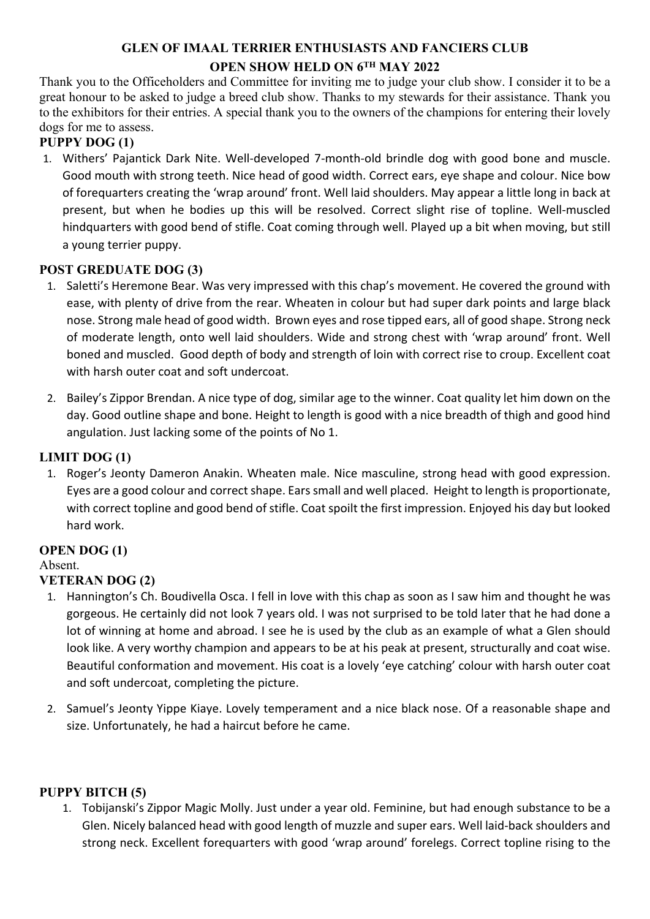# **GLEN OF IMAAL TERRIER ENTHUSIASTS AND FANCIERS CLUB OPEN SHOW HELD ON 6TH MAY 2022**

Thank you to the Officeholders and Committee for inviting me to judge your club show. I consider it to be a great honour to be asked to judge a breed club show. Thanks to my stewards for their assistance. Thank you to the exhibitors for their entries. A special thank you to the owners of the champions for entering their lovely dogs for me to assess.

## **PUPPY DOG (1)**

1. Withers' Pajantick Dark Nite. Well-developed 7-month-old brindle dog with good bone and muscle. Good mouth with strong teeth. Nice head of good width. Correct ears, eye shape and colour. Nice bow of forequarters creating the 'wrap around' front. Well laid shoulders. May appear a little long in back at present, but when he bodies up this will be resolved. Correct slight rise of topline. Well-muscled hindquarters with good bend of stifle. Coat coming through well. Played up a bit when moving, but still a young terrier puppy.

### **POST GREDUATE DOG (3)**

- 1. Saletti's Heremone Bear. Was very impressed with this chap's movement. He covered the ground with ease, with plenty of drive from the rear. Wheaten in colour but had super dark points and large black nose. Strong male head of good width. Brown eyes and rose tipped ears, all of good shape. Strong neck of moderate length, onto well laid shoulders. Wide and strong chest with 'wrap around' front. Well boned and muscled. Good depth of body and strength of loin with correct rise to croup. Excellent coat with harsh outer coat and soft undercoat.
- 2. Bailey's Zippor Brendan. A nice type of dog, similar age to the winner. Coat quality let him down on the day. Good outline shape and bone. Height to length is good with a nice breadth of thigh and good hind angulation. Just lacking some of the points of No 1.

### **LIMIT DOG (1)**

1. Roger's Jeonty Dameron Anakin. Wheaten male. Nice masculine, strong head with good expression. Eyes are a good colour and correct shape. Ears small and well placed. Height to length is proportionate, with correct topline and good bend of stifle. Coat spoilt the first impression. Enjoyed his day but looked hard work.

# **OPEN DOG (1)**

### Absent.

# **VETERAN DOG (2)**

- 1. Hannington's Ch. Boudivella Osca. I fell in love with this chap as soon as I saw him and thought he was gorgeous. He certainly did not look 7 years old. I was not surprised to be told later that he had done a lot of winning at home and abroad. I see he is used by the club as an example of what a Glen should look like. A very worthy champion and appears to be at his peak at present, structurally and coat wise. Beautiful conformation and movement. His coat is a lovely 'eye catching' colour with harsh outer coat and soft undercoat, completing the picture.
- 2. Samuel's Jeonty Yippe Kiaye. Lovely temperament and a nice black nose. Of a reasonable shape and size. Unfortunately, he had a haircut before he came.

### **PUPPY BITCH (5)**

1. Tobijanski's Zippor Magic Molly. Just under a year old. Feminine, but had enough substance to be a Glen. Nicely balanced head with good length of muzzle and super ears. Well laid-back shoulders and strong neck. Excellent forequarters with good 'wrap around' forelegs. Correct topline rising to the